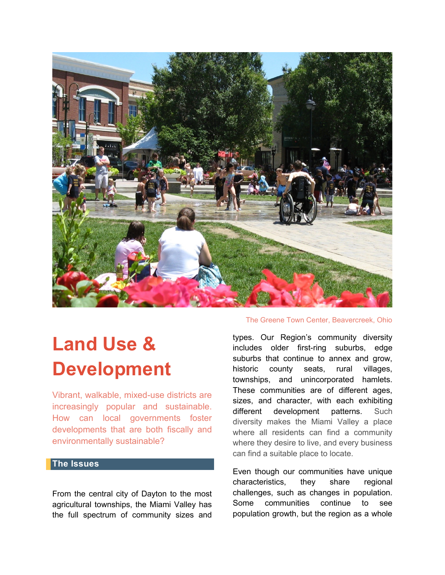

# **Land Use & Development**

Vibrant, walkable, mixed-use districts are increasingly popular and sustainable. How can local governments foster developments that are both fiscally and environmentally sustainable?

## **The Issues**

From the central city of Dayton to the most agricultural townships, the Miami Valley has the full spectrum of community sizes and

#### The Greene Town Center, Beavercreek, Ohio

types. Our Region's community diversity includes older first-ring suburbs, edge suburbs that continue to annex and grow, historic county seats, rural villages, townships, and unincorporated hamlets. These communities are of different ages, sizes, and character, with each exhibiting different development patterns. Such diversity makes the Miami Valley a place where all residents can find a community where they desire to live, and every business can find a suitable place to locate.

Even though our communities have unique characteristics, they share regional challenges, such as changes in population. Some communities continue to see population growth, but the region as a whole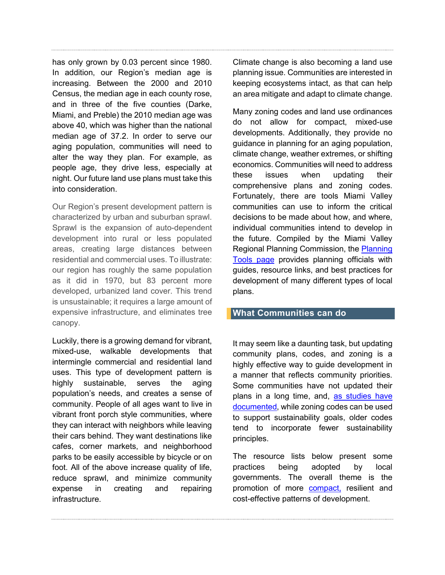has only grown by 0.03 percent since 1980. In addition, our Region's median age is increasing. Between the 2000 and 2010 Census, the median age in each county rose, and in three of the five counties (Darke, Miami, and Preble) the 2010 median age was above 40, which was higher than the national median age of 37.2. In order to serve our aging population, communities will need to alter the way they plan. For example, as people age, they drive less, especially at night. Our future land use plans must take this into consideration.

Our Region's present development pattern is characterized by urban and suburban sprawl. Sprawl is the expansion of auto-dependent development into rural or less populated areas, creating large distances between residential and commercial uses. To illustrate: our region has roughly the same population as it did in 1970, but 83 percent more developed, urbanized land cover. This trend is unsustainable; it requires a large amount of expensive infrastructure, and eliminates tree canopy.

Luckily, there is a growing demand for vibrant, mixed-use, walkable developments that intermingle commercial and residential land uses. This type of development pattern is highly sustainable, serves the aging population's needs, and creates a sense of community. People of all ages want to live in vibrant front porch style communities, where they can interact with neighbors while leaving their cars behind. They want destinations like cafes, corner markets, and neighborhood parks to be easily accessible by bicycle or on foot. All of the above increase quality of life, reduce sprawl, and minimize community expense in creating and repairing infrastructure.

Climate change is also becoming a land use planning issue. Communities are interested in keeping ecosystems intact, as that can help an area mitigate and adapt to climate change.

Many zoning codes and land use ordinances do not allow for compact, mixed-use developments. Additionally, they provide no guidance in planning for an aging population, climate change, weather extremes, or shifting economics. Communities will need to address these issues when updating their comprehensive plans and zoning codes. Fortunately, there are tools Miami Valley communities can use to inform the critical decisions to be made about how, and where, individual communities intend to develop in the future. Compiled by the Miami Valley Regional Planning Commission, the [Planning](https://www.mvrpc.org/regional-planning/regional-planning-services/planning-tools)  [Tools page](https://www.mvrpc.org/regional-planning/regional-planning-services/planning-tools) provides planning officials with guides, resource links, and best practices for development of many different types of local plans.

## **What Communities can do**

It may seem like a daunting task, but updating community plans, codes, and zoning is a highly effective way to guide development in a manner that reflects community priorities. Some communities have not updated their plans in a long time, and, [as studies have](https://www.tandfonline.com/doi/pdf/10.1080/01944363.2014.981200)  [documented,](https://www.tandfonline.com/doi/pdf/10.1080/01944363.2014.981200) while zoning codes can be used to support sustainability goals, older codes tend to incorporate fewer sustainability principles.

The resource lists below present some practices being adopted by local governments. The overall theme is the promotion of more [compact,](https://balancedgrowth.ohio.gov/Portals/0/BLLUP/2010%20Update/Chapter%203%20Compact%20Development%2020150407.pdf) resilient and cost-effective patterns of development.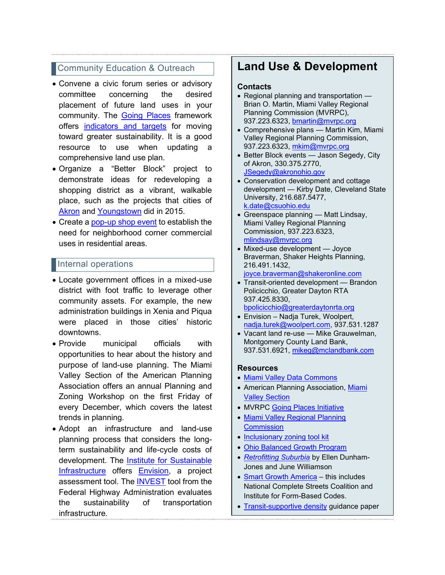# **Community Education & Outreach**

- Convene a civic forum series or advisory committee concerning the desired placement of future land uses in your community. The **[Going Places](https://www.mvrpc.org/regional-planning/going-places-initiative)** framework offers [indicators and targets](https://www.mvrpc.org/sites/default/files/gp-summary-booklet-2015.pdf) for moving toward greater sustainability. It is a good resource to use when updating a comprehensive land use plan.
- Organize a "Better Block" project to demonstrate ideas for redeveloping a shopping district as a vibrant, walkable place, such as the projects that cities of [Akron](https://teambetterblock.com/akron/) and [Youngstown](https://www.gcbl.org/blog/2015/09/youngstown-kicks-off-better-blocks-series) did in 2015.
- Create a [pop-up shop event](http://www.cudc.kent.edu/pop_up_city/) to establish the need for neighborhood corner commercial uses in residential areas.

## Internal operations

- Locate government offices in a mixed-use district with foot traffic to leverage other community assets. For example, the new administration buildings in Xenia and Piqua were placed in those cities' historic downtowns.
- Provide municipal officials with opportunities to hear about the history and purpose of land-use planning. The Miami Valley Section of the American Planning Association offers an annual Planning and Zoning Workshop on the first Friday of every December, which covers the latest trends in planning.
- Adopt an infrastructure and land-use planning process that considers the longterm sustainability and life-cycle costs of development. The [Institute for Sustainable](https://sustainableinfrastructure.org/about-isi/)  [Infrastructure](https://sustainableinfrastructure.org/about-isi/) offers **Envision**, a project assessment tool. The [INVEST](https://www.sustainablehighways.org/) tool from the Federal Highway Administration evaluates the sustainability of transportation infrastructure.

# **Land Use & Development**

## **Contacts**

- Regional planning and transportation Brian O. Martin, Miami Valley Regional Planning Commission (MVRPC), 937.223.6323, [bmartin@mvrpc.org](mailto:bmartin@mvrpc.org)
- Comprehensive plans Martin Kim, Miami Valley Regional Planning Commission, 937.223.6323, [mkim@mvrpc.org](mailto:mkim@mvrpc.org)
- Better Block events Jason Segedy, City of Akron, 330.375.2770, [JSegedy@akronohio.gov](mailto:JSegedy@akronohio.gov)
- Conservation development and cottage development — Kirby Date, Cleveland State University, 216.687.5477, [k.date@csuohio.edu](mailto:k.date@csuohio.edu)
- Greenspace planning Matt Lindsay, Miami Valley Regional Planning Commission, 937.223.6323, [mlindsay@mvrpc.org](mailto:mlindsay@mvrpc.org)
- Mixed-use development Joyce Braverman, Shaker Heights Planning, 216.491.1432, [joyce.braverman@shakeronline.com](mailto:joyce.braverman@shakeronline.com)
- Transit-oriented development Brandon Policicchio, Greater Dayton RTA 937.425.8330, [bpolicicchio@greaterdaytonrta.org](mailto:bpolicicchio@greaterdaytonrta.org)
- Envision Nadja Turek, Woolpert, [nadja.turek@woolpert.com,](mailto:nadja.turek@woolpert.com) 937.531.1287
- Vacant land re-use Mike Grauwelman, Montgomery County Land Bank, 937.531.6921, [mikeg@mclandbank.com](mailto:mikeg@mclandbank.com)

## **Resources**

- [Miami Valley Data Commons](https://www.mvrpc.org/data-mapping/miami-valley-data-commons)
- American Planning Association, [Miami](http://www.ohioplanning.org/aws/APAOH/pt/sp/sections-miami-valley)  [Valley Section](http://www.ohioplanning.org/aws/APAOH/pt/sp/sections-miami-valley)
- MVRPC [Going Places Initiative](https://www.mvrpc.org/regional-planning/going-places-initiative)
- [Miami Valley Regional Planning](https://www.mvrpc.org/)  **[Commission](https://www.mvrpc.org/)**
- [Inclusionary zoning tool kit](https://www.policylink.org/resources-tools/inclusionary-zoning)
- [Ohio Balanced Growth Program](https://balancedgrowth.ohio.gov/)
- *[Retrofitting Suburbia](http://uli.org/wp-content/uploads/2009/10/Sustainable-Suburbs-Retrofitting-Suburbia.pdf)* by Ellen Dunham-Jones and June Williamson
- [Smart Growth America](https://smartgrowthamerica.org/) this includes National Complete Streets Coalition and Institute for Form-Based Codes.
- [Transit-supportive density](https://www.psrc.org/sites/default/files/tsdluguidancepaper.pdf) guidance paper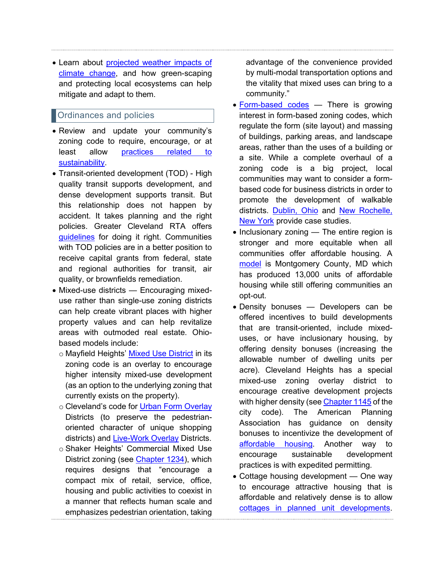• Learn about [projected weather impacts of](https://nca2018.globalchange.gov/chapter/2/)  [climate change,](https://nca2018.globalchange.gov/chapter/2/) and how green-scaping and protecting local ecosystems can help mitigate and adapt to them.

## **Ordinances and policies**

- Review and update your community's zoning code to require, encourage, or at least allow practices related to [sustainability.](https://www.tandfonline.com/doi/pdf/10.1080/01944363.2014.981200)
- Transit-oriented development (TOD) High quality transit supports development, and dense development supports transit. But this relationship does not happen by accident. It takes planning and the right policies. Greater Cleveland RTA offers [guidelines](http://www.riderta.com/tod/guidelines#rectod) for doing it right. Communities with TOD policies are in a better position to receive capital grants from federal, state and regional authorities for transit, air quality, or brownfields remediation.
- Mixed-use districts Encouraging mixeduse rather than single-use zoning districts can help create vibrant places with higher property values and can help revitalize areas with outmoded real estate. Ohiobased models include:
	- o Mayfield Heights' [Mixed Use District](http://library.amlegal.com/nxt/gateway.dll/Ohio/mayfieldhts/parteleven-planningandzoningcode?f=templates$fn=default.htm$3.0$vid=amlegal:mayfieldhts_oh) in its zoning code is an overlay to encourage higher intensity mixed-use development (as an option to the underlying zoning that currently exists on the property).
	- o Cleveland's code for [Urban Form Overlay](http://library.amlegal.com/nxt/gateway.dll/Ohio/cleveland_oh/cityofclevelandohiocodeofordinances?f=templates$fn=default.htm$3.0$vid=amlegal:cleveland_oh) Districts (to preserve the pedestrianoriented character of unique shopping districts) and [Live-Work Overlay](http://library.amlegal.com/nxt/gateway.dll/Ohio/cleveland_oh/cityofclevelandohiocodeofordinances?f=templates$fn=default.htm$3.0$vid=amlegal:cleveland_oh) Districts.
	- o Shaker Heights' Commercial Mixed Use District zoning (see [Chapter 1234\)](http://library2.amlegal.com/nxt/gateway.dll/Ohio/shakerhts_oh/codifiedordinancesofthecityofshakerheigh?f=templates$fn=default.htm$3.0$vid=amlegal:shakerhts_oh), which requires designs that "encourage a compact mix of retail, service, office, housing and public activities to coexist in a manner that reflects human scale and emphasizes pedestrian orientation, taking

advantage of the convenience provided by multi-modal transportation options and the vitality that mixed uses can bring to a community."

- [Form-based codes](https://formbasedcodes.org/) There is growing interest in form-based zoning codes, which regulate the form (site layout) and massing of buildings, parking areas, and landscape areas, rather than the uses of a building or a site. While a complete overhaul of a zoning code is a big project, local communities may want to consider a formbased code for business districts in order to promote the development of walkable districts. [Dublin, Ohio](https://dublinohiousa.gov/dublin-innovates-form-based-code/) and [New Rochelle,](https://smartgrowthamerica.org/new-zoning-makes-new-rochelles-vision-a-reality/)  [New York](https://smartgrowthamerica.org/new-zoning-makes-new-rochelles-vision-a-reality/) provide case studies.
- Inclusionary zoning The entire region is stronger and more equitable when all communities offer affordable housing. A [model](https://www.montgomerycountymd.gov/DHCA/housing/singlefamily/mpdu/history_law.html) is Montgomery County, MD which has produced 13,000 units of affordable housing while still offering communities an opt-out.
- Density bonuses Developers can be offered incentives to build developments that are transit-oriented, include mixeduses, or have inclusionary housing, by offering density bonuses (increasing the allowable number of dwelling units per acre). Cleveland Heights has a special mixed-use zoning overlay district to encourage creative development projects with higher density (see [Chapter 1145](http://library2.amlegal.com/nxt/gateway.dll/Ohio/clevelandhts_oh/codifiedordinances?f=templates$fn=default.htm$3.0$vid=amlegal:clevelandhts_oh) of the city code). The American Planning Association has guidance on density bonuses to incentivize the development of [affordable housing.](https://www.planning.org/publications/document/9027808/) Another way to encourage sustainable development practices is with expedited permitting.
- Cottage housing development One way to encourage attractive housing that is affordable and relatively dense is to allow [cottages in planned unit developments.](https://www.huduser.gov/portal/casestudies/study_102011_2.html)